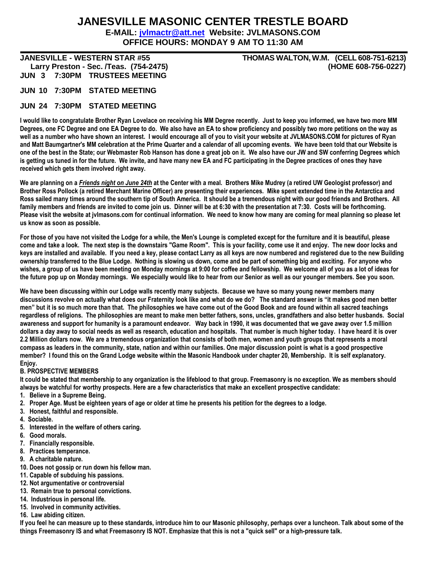## **JANESVILLE MASONIC CENTER TRESTLE BOARD**

**E-MAIL: jvlmactr@att.net Website: JVLMASONS.COM OFFICE HOURS: MONDAY 9 AM TO 11:30 AM**

**JUN 3 7:30PM TRUSTEES MEETING**

**JANESVILLE - WESTERN STAR #55 THOMAS WALTON, W.M. (CELL 608-751-6213) Larry Preston - Sec. /Teas. (754-2475) (HOME 608-756-0227)**

**JUN 10 7:30PM STATED MEETING**

### **JUN 24 7:30PM STATED MEETING**

**I would like to congratulate Brother Ryan Lovelace on receiving his MM Degree recently. Just to keep you informed, we have two more MM Degrees, one FC Degree and one EA Degree to do. We also have an EA to show proficiency and possibly two more petitions on the way as well as a number who have shown an interest. I would encourage all of you to visit your website at JVLMASONS.COM for pictures of Ryan and Matt Baumgartner's MM celebration at the Prime Quarter and a calendar of all upcoming events. We have been told that our Website is one of the best in the State; our Webmaster Rob Hanson has done a great job on it. We also have our JW and SW conferring Degrees which is getting us tuned in for the future. We invite, and have many new EA and FC participating in the Degree practices of ones they have received which gets them involved right away.**

**We are planning on a** *Friends night on June 24th* **at the Center with a meal. Brothers Mike Mudrey (a retired UW Geologist professor) and Brother Ross Pollock (a retired Merchant Marine Officer) are presenting their experiences. Mike spent extended time in the Antarctica and Ross sailed many times around the southern tip of South America. It should be a tremendous night with our good friends and Brothers. All family members and friends are invited to come join us. Dinner will be at 6:30 with the presentation at 7:30. Costs will be forthcoming. Please visit the website at jvlmasons.com for continual information. We need to know how many are coming for meal planning so please let us know as soon as possible.**

**For those of you have not visited the Lodge for a while, the Men's Lounge is completed except for the furniture and it is beautiful, please come and take a look. The next step is the downstairs "Game Room". This is your facility, come use it and enjoy. The new door locks and keys are installed and available. If you need a key, please contact Larry as all keys are now numbered and registered due to the new Building ownership transferred to the Blue Lodge. Nothing is slowing us down, come and be part of something big and exciting. For anyone who wishes, a group of us have been meeting on Monday mornings at 9:00 for coffee and fellowship. We welcome all of you as a lot of ideas for the future pop up on Monday mornings. We especially would like to hear from our Senior as well as our younger members. See you soon.**

**We have been discussing within our Lodge walls recently many subjects. Because we have so many young newer members many discussions revolve on actually what does our Fraternity look like and what do we do? The standard answer is "it makes good men better men" but it is so much more than that. The philosophies we have come out of the Good Book and are found within all sacred teachings regardless of religions. The philosophies are meant to make men better fathers, sons, uncles, grandfathers and also better husbands. Social awareness and support for humanity is a paramount endeavor. Way back in 1990, it was documented that we gave away over 1.5 million dollars a day away to social needs as well as research, education and hospitals. That number is much higher today. I have heard it is over 2.2 Million dollars now. We are a tremendous organization that consists of both men, women and youth groups that represents a moral compass as leaders in the community, state, nation and within our families. One major discussion point is what is a good prospective member? I found this on the Grand Lodge website within the Masonic Handbook under chapter 20, Membership. It is self explanatory. Enjoy.**

#### **B. PROSPECTIVE MEMBERS**

**It could be stated that membership to any organization is the lifeblood to that group. Freemasonry is no exception. We as members should always be watchful for worthy prospects. Here are a few characteristics that make an excellent prospective candidate:**

- **1. Believe in a Supreme Being.**
- **2. Proper Age. Must be eighteen years of age or older at time he presents his petition for the degrees to a lodge.**
- **3. Honest, faithful and responsible.**
- **4. Sociable.**
- **5. Interested in the welfare of others caring.**
- **6. Good morals.**
- **7. Financially responsible.**
- **8. Practices temperance.**
- **9. A charitable nature.**
- **10. Does not gossip or run down his fellow man.**
- **11. Capable of subduing his passions.**
- **12. Not argumentative or controversial**
- **13. Remain true to personal convictions.**
- **14. Industrious in personal life.**
- **15. Involved in community activities.**

**16. Law abiding citizen.**

**If you feel he can measure up to these standards, introduce him to our Masonic philosophy, perhaps over a luncheon. Talk about some of the things Freemasonry IS and what Freemasonry IS NOT. Emphasize that this is not a "quick sell" or a high-pressure talk.**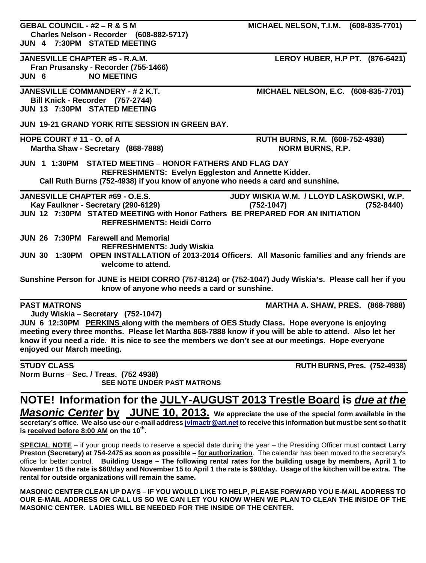| <b>GEBAL COUNCIL - #2 - R &amp; S M</b>                                                                 | MICHAEL NELSON, T.I.M. (608-835-7701)    |  |  |  |  |  |  |
|---------------------------------------------------------------------------------------------------------|------------------------------------------|--|--|--|--|--|--|
| Charles Nelson - Recorder (608-882-5717)                                                                |                                          |  |  |  |  |  |  |
| JUN 4 7:30PM STATED MEETING                                                                             |                                          |  |  |  |  |  |  |
| <b>JANESVILLE CHAPTER #5 - R.A.M.</b>                                                                   | LEROY HUBER, H.P PT. (876-6421)          |  |  |  |  |  |  |
| Fran Prusansky - Recorder (755-1466)                                                                    |                                          |  |  |  |  |  |  |
| <b>NO MEETING</b><br>JUN 6                                                                              |                                          |  |  |  |  |  |  |
|                                                                                                         |                                          |  |  |  |  |  |  |
| <b>JANESVILLE COMMANDERY - # 2 K.T.</b>                                                                 | MICHAEL NELSON, E.C. (608-835-7701)      |  |  |  |  |  |  |
| Bill Knick - Recorder (757-2744)                                                                        |                                          |  |  |  |  |  |  |
| JUN 13 7:30PM STATED MEETING                                                                            |                                          |  |  |  |  |  |  |
|                                                                                                         |                                          |  |  |  |  |  |  |
| JUN 19-21 GRAND YORK RITE SESSION IN GREEN BAY.                                                         |                                          |  |  |  |  |  |  |
| HOPE COURT #11 - O. of A                                                                                | RUTH BURNS, R.M. (608-752-4938)          |  |  |  |  |  |  |
| Martha Shaw - Secretary (868-7888)                                                                      | <b>NORM BURNS, R.P.</b>                  |  |  |  |  |  |  |
|                                                                                                         |                                          |  |  |  |  |  |  |
| JUN 1 1:30PM STATED MEETING - HONOR FATHERS AND FLAG DAY                                                |                                          |  |  |  |  |  |  |
| <b>REFRESHMENTS: Evelyn Eggleston and Annette Kidder.</b>                                               |                                          |  |  |  |  |  |  |
| Call Ruth Burns (752-4938) if you know of anyone who needs a card and sunshine.                         |                                          |  |  |  |  |  |  |
| <b>JANESVILLE CHAPTER #69 - O.E.S.</b>                                                                  | JUDY WISKIA W.M. / LLOYD LASKOWSKI, W.P. |  |  |  |  |  |  |
| Kay Faulkner - Secretary (290-6129)                                                                     | $(752 - 8440)$<br>$(752 - 1047)$         |  |  |  |  |  |  |
| JUN 12 7:30PM STATED MEETING with Honor Fathers BE PREPARED FOR AN INITIATION                           |                                          |  |  |  |  |  |  |
| <b>REFRESHMENTS: Heidi Corro</b>                                                                        |                                          |  |  |  |  |  |  |
| JUN 26 7:30PM Farewell and Memorial                                                                     |                                          |  |  |  |  |  |  |
| <b>REFRESHMENTS: Judy Wiskia</b>                                                                        |                                          |  |  |  |  |  |  |
| JUN 30 1:30PM OPEN INSTALLATION of 2013-2014 Officers. All Masonic families and any friends are         |                                          |  |  |  |  |  |  |
| welcome to attend.                                                                                      |                                          |  |  |  |  |  |  |
| Sunshine Person for JUNE is HEIDI CORRO (757-8124) or (752-1047) Judy Wiskia's. Please call her if you  |                                          |  |  |  |  |  |  |
| know of anyone who needs a card or sunshine.                                                            |                                          |  |  |  |  |  |  |
| <b>PAST MATRONS</b>                                                                                     | <b>MARTHA A. SHAW, PRES. (868-7888)</b>  |  |  |  |  |  |  |
| Judy Wiskia - Secretary (752-1047)                                                                      |                                          |  |  |  |  |  |  |
| JUN 6 12:30PM PERKINS along with the members of OES Study Class. Hope everyone is enjoying              |                                          |  |  |  |  |  |  |
| meeting every three months. Please let Martha 868-7888 know if you will be able to attend. Also let her |                                          |  |  |  |  |  |  |
| know if you need a ride. It is nice to see the members we don't see at our meetings. Hope everyone      |                                          |  |  |  |  |  |  |
| enjoyed our March meeting.                                                                              |                                          |  |  |  |  |  |  |
|                                                                                                         |                                          |  |  |  |  |  |  |
| <b>STUDY CLASS</b>                                                                                      | <b>RUTH BURNS, Pres. (752-4938)</b>      |  |  |  |  |  |  |

**Norm Burns – Sec. / Treas. (752 4938) SEE NOTE UNDER PAST MATRONS**

# **NOTE! Information for the JULY-AUGUST 2013 Trestle Board is** *due at the*

*Masonic Center* **by JUNE 10, 2013. We appreciate the use of the special form available in the secretary's office. We also use our e-mail address jvlmactr@att.net to receive this information but must be sent so that it is received before 8:00 AM on the 10th .**

**SPECIAL NOTE** – if your group needs to reserve a special date during the year – the Presiding Officer must **contact Larry Preston (Secretary) at 754-2475 as soon as possible – for authorization**. The calendar has been moved to the secretary's office for better control. **Building Usage – The following rental rates for the building usage by members, April 1 to November 15 the rate is \$60/day and November 15 to April 1 the rate is \$90/day. Usage of the kitchen will be extra. The rental for outside organizations will remain the same.**

**MASONIC CENTER CLEAN UP DAYS – IF YOU WOULD LIKE TO HELP, PLEASE FORWARD YOU E-MAIL ADDRESS TO OUR E-MAIL ADDRESS OR CALL US SO WE CAN LET YOU KNOW WHEN WE PLAN TO CLEAN THE INSIDE OF THE MASONIC CENTER. LADIES WILL BE NEEDED FOR THE INSIDE OF THE CENTER.**